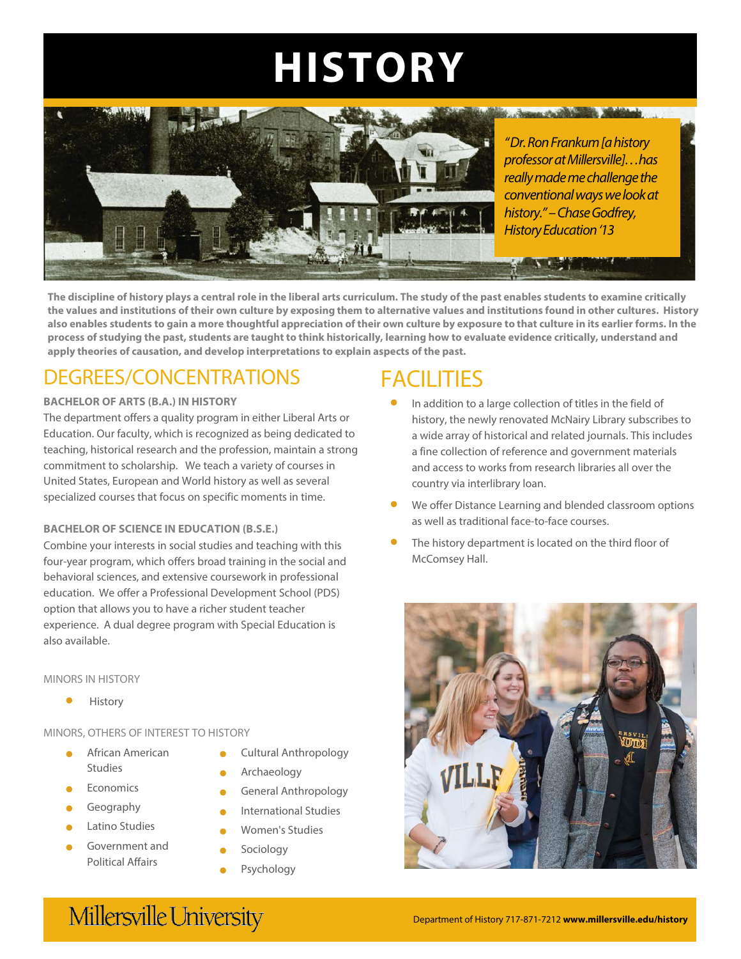## Environmental Policy and Regulation, Industrial and Environmental Health, Land Use, Quantitative  $HISTORY$



*"Dr. Ron Frankum[a history professor at Millersville]…has really made me challenge the conventional ways we look at history."–Chase Godfrey, History Education '13*

**The discipline of history plays a central role in the liberal arts curriculum. The study of the past enables students to examine critically the values and institutions of their own culture by exposing them to alternative values and institutions found in other cultures. History also enables students to gain a more thoughtful appreciation of their own culture by exposure to that culture in its earlier forms. In the process of studying the past, students are taught to think historically, learning how to evaluate evidence critically, understand and apply theories of causation, and develop interpretations to explain aspects of the past.**

## DEGREES/CONCENTRATIONS

### **BACHELOR OF ARTS (B.A.) IN HISTORY**

The department offers a quality program in either Liberal Arts or Education. Our faculty, which is recognized as being dedicated to teaching, historical research and the profession, maintain a strong commitment to scholarship. We teach a variety of courses in United States, European and World history as well as several specialized courses that focus on specific moments in time.

## **BACHELOR OF SCIENCE IN EDUCATION (B.S.E.)**

Combine your interests in social studies and teaching with this four-year program, which offers broad training in the social and behavioral sciences, and extensive coursework in professional education. We offer a Professional Development School (PDS) option that allows you to have a richer student teacher experience. A dual degree program with Special Education is also available.

### MINORS IN HISTORY

• History

## MINORS, OTHERS OF INTEREST TO HISTORY

- African American Studies
- **Economics**
- **Geography**
- Latino Studies
- Government and Political Affairs
- Cultural Anthropology
- Archaeology
- General Anthropology
- International Studies
- Women's Studies
- Sociology
- **Psychology**

# **FACILITIES**

- In addition to a large collection of titles in the field of history, the newly renovated McNairy Library subscribes to a wide array of historical and related journals. This includes a fine collection of reference and government materials and access to works from research libraries all over the country via interlibrary loan.
- We offer Distance Learning and blended classroom options as well as traditional face-to-face courses.
- The history department is located on the third floor of McComsey Hall.



# Millersville University